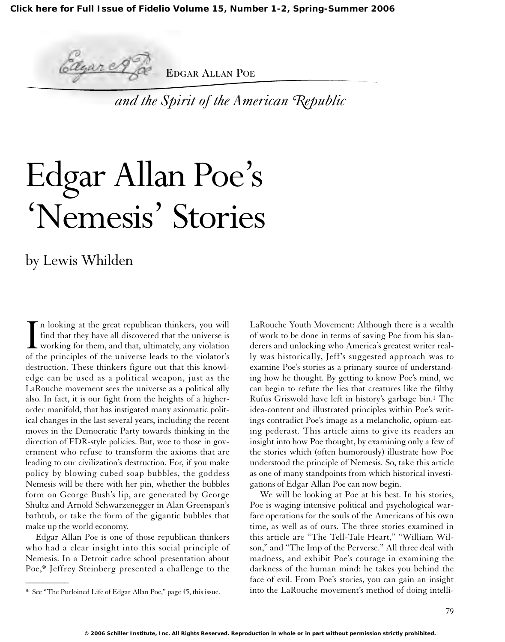

EDGAR ALLAN POE

*and the Spirit of the American Republic*

# Edgar Allan Poe's 'Nemesis' Stories

### by Lewis Whilden

In looking at the great republican thinkers, you will find that they have all discovered that the universe is working for them, and that, ultimately, any violation of the principles of the universe leads to the violator's n looking at the great republican thinkers, you will find that they have all discovered that the universe is working for them, and that, ultimately, any violation destruction. These thinkers figure out that this knowledge can be used as a political weapon, just as the LaRouche movement sees the universe as a political ally also. In fact, it is our fight from the heights of a higherorder manifold, that has instigated many axiomatic political changes in the last several years, including the recent moves in the Democratic Party towards thinking in the direction of FDR-style policies. But, woe to those in government who refuse to transform the axioms that are leading to our civilization's destruction. For, if you make policy by blowing cubed soap bubbles, the goddess Nemesis will be there with her pin, whether the bubbles form on George Bush's lip, are generated by George Shultz and Arnold Schwarzenegger in Alan Greenspan's bathtub, or take the form of the gigantic bubbles that make up the world economy.

Edgar Allan Poe is one of those republican thinkers who had a clear insight into this social principle of Nemesis. In a Detroit cadre school presentation about Poe,\* Jeffrey Steinberg presented a challenge to the

 $\overline{\phantom{a}}$ 

LaRouche Youth Movement: Although there is a wealth of work to be done in terms of saving Poe from his slanderers and unlocking who America's greatest writer really was historically, Jeff's suggested approach was to examine Poe's stories as a primary source of understanding how he thought. By getting to know Poe's mind, we can begin to refute the lies that creatures like the filthy Rufus Griswold have left in history's garbage bin.1 The idea-content and illustrated principles within Poe's writings contradict Poe's image as a melancholic, opium-eating pederast. This article aims to give its readers an insight into how Poe thought, by examining only a few of the stories which (often humorously) illustrate how Poe understood the principle of Nemesis. So, take this article as one of many standpoints from which historical investigations of Edgar Allan Poe can now begin.

We will be looking at Poe at his best. In his stories, Poe is waging intensive political and psychological warfare operations for the souls of the Americans of his own time, as well as of ours. The three stories examined in this article are "The Tell-Tale Heart," "William Wilson," and "The Imp of the Perverse." All three deal with madness, and exhibit Poe's courage in examining the darkness of the human mind: he takes you behind the face of evil. From Poe's stories, you can gain an insight into the LaRouche movement's method of doing intelli-

<sup>\*</sup> See "The Purloined Life of Edgar Allan Poe," page 45, this issue.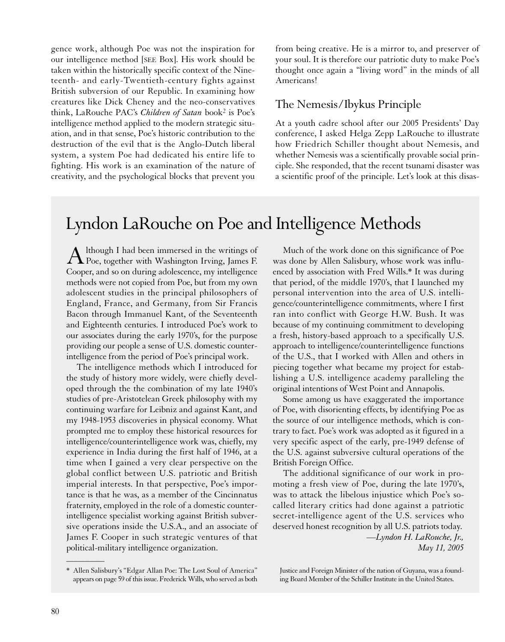gence work, although Poe was not the inspiration for our intelligence method [SEE Box]. His work should be taken within the historically specific context of the Nineteenth- and early-Twentieth-century fights against British subversion of our Republic. In examining how creatures like Dick Cheney and the neo-conservatives think, LaRouche PAC's *Children of Satan* book2 is Poe's intelligence method applied to the modern strategic situation, and in that sense, Poe's historic contribution to the destruction of the evil that is the Anglo-Dutch liberal system, a system Poe had dedicated his entire life to fighting. His work is an examination of the nature of creativity, and the psychological blocks that prevent you from being creative. He is a mirror to, and preserver of your soul. It is therefore our patriotic duty to make Poe's thought once again a "living word" in the minds of all Americans!

#### The Nemesis/Ibykus Principle

At a youth cadre school after our 2005 Presidents' Day conference, I asked Helga Zepp LaRouche to illustrate how Friedrich Schiller thought about Nemesis, and whether Nemesis was a scientifically provable social principle. She responded, that the recent tsunami disaster was a scientific proof of the principle. Let's look at this disas-

## Lyndon LaRouche on Poe and Intelligence Methods

A lthough I had been immersed in the writings of<br>Poe, together with Washington Irving, James F. Cooper, and so on during adolescence, my intelligence methods were not copied from Poe, but from my own adolescent studies in the principal philosophers of England, France, and Germany, from Sir Francis Bacon through Immanuel Kant, of the Seventeenth and Eighteenth centuries. I introduced Poe's work to our associates during the early 1970's, for the purpose providing our people a sense of U.S. domestic counterintelligence from the period of Poe's principal work.

The intelligence methods which I introduced for the study of history more widely, were chiefly developed through the the combination of my late 1940's studies of pre-Aristotelean Greek philosophy with my continuing warfare for Leibniz and against Kant, and my 1948-1953 discoveries in physical economy. What prompted me to employ these historical resources for intelligence/counterintelligence work was, chiefly, my experience in India during the first half of 1946, at a time when I gained a very clear perspective on the global conflict between U.S. patriotic and British imperial interests. In that perspective, Poe's importance is that he was, as a member of the Cincinnatus fraternity, employed in the role of a domestic counterintelligence specialist working against British subversive operations inside the U.S.A., and an associate of James F. Cooper in such strategic ventures of that political-military intelligence organization.

Much of the work done on this significance of Poe was done by Allen Salisbury, whose work was influenced by association with Fred Wills.\* It was during that period, of the middle 1970's, that I launched my personal intervention into the area of U.S. intelligence/counterintelligence commitments, where I first ran into conflict with George H.W. Bush. It was because of my continuing commitment to developing a fresh, history-based approach to a specifically U.S. approach to intelligence/counterintelligence functions of the U.S., that I worked with Allen and others in piecing together what became my project for establishing a U.S. intelligence academy paralleling the original intentions of West Point and Annapolis.

Some among us have exaggerated the importance of Poe, with disorienting effects, by identifying Poe as the source of our intelligence methods, which is contrary to fact. Poe's work was adopted as it figured in a very specific aspect of the early, pre-1949 defense of the U.S. against subversive cultural operations of the British Foreign Office.

The additional significance of our work in promoting a fresh view of Poe, during the late 1970's, was to attack the libelous injustice which Poe's socalled literary critics had done against a patriotic secret-intelligence agent of the U.S. services who deserved honest recognition by all U.S. patriots today. *—Lyndon H. LaRouche, Jr.,*

*May 11, 2005*

 $\overline{\phantom{a}}$ 

<sup>\*</sup> Allen Salisbury's "Edgar Allan Poe: The Lost Soul of America" appears on page 59 of this issue. Frederick Wills, who served as both

Justice and Foreign Minister of the nation of Guyana, was a founding Board Member of the Schiller Institute in the United States.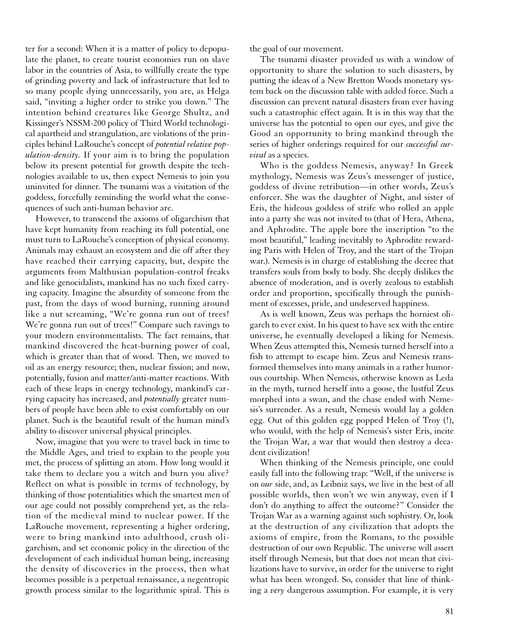ter for a second: When it is a matter of policy to depopulate the planet, to create tourist economies run on slave labor in the countries of Asia, to willfully create the type of grinding poverty and lack of infrastructure that led to so many people dying unnecessarily, you are, as Helga said, "inviting a higher order to strike you down." The intention behind creatures like George Shultz, and Kissinger's NSSM-200 policy of Third World technological apartheid and strangulation, are violations of the principles behind LaRouche's concept of *potential relative population-density.* If your aim is to bring the population below its present potential for growth despite the technologies available to us, then expect Nemesis to join you uninvited for dinner. The tsunami was a visitation of the goddess, forcefully reminding the world what the consequences of such anti-human behavior are.

However, to transcend the axioms of oligarchism that have kept humanity from reaching its full potential, one must turn to LaRouche's conception of physical economy. Animals may exhaust an ecosystem and die off after they have reached their carrying capacity, but, despite the arguments from Malthusian population-control freaks and like genocidalists, mankind has no such fixed carrying capacity. Imagine the absurdity of someone from the past, from the days of wood burning, running around like a nut screaming, "We're gonna run out of trees! We're gonna run out of trees!" Compare such ravings to your modern environmentalists. The fact remains, that mankind discovered the heat-burning power of coal, which is greater than that of wood. Then, we moved to oil as an energy resource; then, nuclear fission; and now, potentially, fusion and matter/anti-matter reactions. With each of these leaps in energy technology, mankind's carrying capacity has increased, and *potentially* greater numbers of people have been able to exist comfortably on our planet. Such is the beautiful result of the human mind's ability to discover universal physical principles.

Now, imagine that you were to travel back in time to the Middle Ages, and tried to explain to the people you met, the process of splitting an atom. How long would it take them to declare you a witch and burn you alive? Reflect on what is possible in terms of technology, by thinking of those potentialities which the smartest men of our age could not possibly comprehend yet, as the relation of the medieval mind to nuclear power. If the LaRouche movement, representing a higher ordering, were to bring mankind into adulthood, crush oligarchism, and set economic policy in the direction of the development of each individual human being, increasing the density of discoveries in the process, then what becomes possible is a perpetual renaissance, a negentropic growth process similar to the logarithmic spiral. This is the goal of our movement.

The tsunami disaster provided us with a window of opportunity to share the solution to such disasters, by putting the ideas of a New Bretton Woods monetary system back on the discussion table with added force. Such a discussion can prevent natural disasters from ever having such a catastrophic effect again. It is in this way that the universe has the potential to open our eyes, and give the Good an opportunity to bring mankind through the series of higher orderings required for our *successful survival* as a species.

Who is the goddess Nemesis, anyway? In Greek mythology, Nemesis was Zeus's messenger of justice, goddess of divine retribution—in other words, Zeus's enforcer. She was the daughter of Night, and sister of Eris, the hideous goddess of strife who rolled an apple into a party she was not invited to (that of Hera, Athena, and Aphrodite. The apple bore the inscription "to the most beautiful," leading inevitably to Aphrodite rewarding Paris with Helen of Troy, and the start of the Trojan war.). Nemesis is in charge of establishing the decree that transfers souls from body to body. She deeply dislikes the absence of moderation, and is overly zealous to establish order and proportion, specifically through the punishment of excesses, pride, and undeserved happiness.

As is well known, Zeus was perhaps the horniest oligarch to ever exist. In his quest to have sex with the entire universe, he eventually developed a liking for Nemesis. When Zeus attempted this, Nemesis turned herself into a fish to attempt to escape him. Zeus and Nemesis transformed themselves into many animals in a rather humorous courtship. When Nemesis, otherwise known as Leda in the myth, turned herself into a goose, the lustful Zeus morphed into a swan, and the chase ended with Nemesis's surrender. As a result, Nemesis would lay a golden egg. Out of this golden egg popped Helen of Troy (!), who would, with the help of Nemesis's sister Eris, incite the Trojan War, a war that would then destroy a decadent civilization!

When thinking of the Nemesis principle, one could easily fall into the following trap: "Well, if the universe is on *our* side, and, as Leibniz says, we live in the best of all possible worlds, then won't we win anyway, even if I don't do anything to affect the outcome?" Consider the Trojan War as a warning against such sophistry. Or, look at the destruction of any civilization that adopts the axioms of empire, from the Romans, to the possible destruction of our own Republic. The universe will assert itself through Nemesis, but that does not mean that civilizations have to survive, in order for the universe to right what has been wronged. So, consider that line of thinking a *very* dangerous assumption. For example, it is very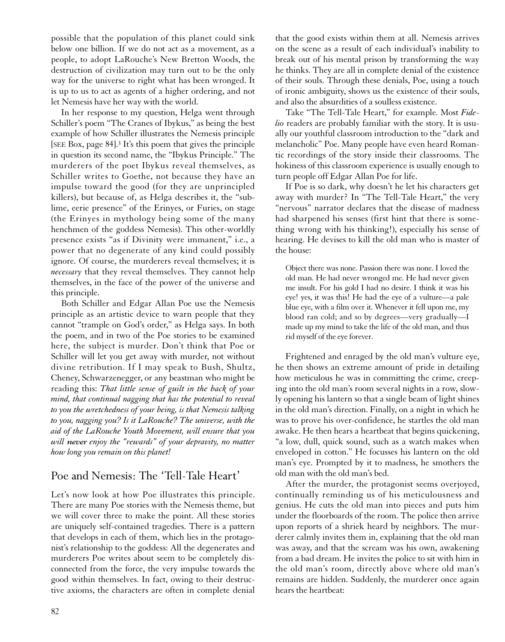possible that the population of this planet could sink below one billion. If we do not act as a movement, as a people, to adopt LaRouche's New Bretton Woods, the destruction of civilization may turn out to be the only way for the universe to right what has been wronged. It is up to us to act as agents of a higher ordering, and not let Nemesis have her way with the world.

In her response to my question, Helga went through Schiller's poem "The Cranes of Ibykus," as being the best example of how Schiller illustrates the Nemesis principle [SEE Box, page 84].3 It's this poem that gives the principle in question its second name, the "Ibykus Principle." The murderers of the poet Ibykus reveal themselves, as Schiller writes to Goethe, not because they have an impulse toward the good (for they are unprincipled killers), but because of, as Helga describes it, the "sublime, eerie presence" of the Erinyes, or Furies, on stage (the Erinyes in mythology being some of the many henchmen of the goddess Nemesis). This other-worldly presence exists "as if Divinity were immanent," i.e., a power that no degenerate of any kind could possibly ignore. Of course, the murderers reveal themselves; it is *necessary* that they reveal themselves. They cannot help themselves, in the face of the power of the universe and this principle.

Both Schiller and Edgar Allan Poe use the Nemesis principle as an artistic device to warn people that they cannot "trample on God's order," as Helga says. In both the poem, and in two of the Poe stories to be examined here, the subject is murder. Don't think that Poe or Schiller will let you get away with murder, not without divine retribution. If I may speak to Bush, Shultz, Cheney, Schwarzenegger, or any beastman who might be reading this: *That little sense of guilt in the back of your mind, that continual nagging that has the potential to reveal to you the wretchedness of your being, is that Nemesis talking to you, nagging you? Is it LaRouche? The universe, with the aid of the LaRouche Youth Movement, will ensure that you will never enjoy the "rewards" of your depravity, no matter how long you remain on this planet!*

#### Poe and Nemesis: The 'Tell-Tale Heart'

Let's now look at how Poe illustrates this principle. There are many Poe stories with the Nemesis theme, but we will cover three to make the point. All these stories are uniquely self-contained tragedies. There is a pattern that develops in each of them, which lies in the protagonist's relationship to the goddess: All the degenerates and murderers Poe writes about seem to be completely disconnected from the force, the very impulse towards the good within themselves. In fact, owing to their destructive axioms, the characters are often in complete denial

that the good exists within them at all. Nemesis arrives on the scene as a result of each individual's inability to break out of his mental prison by transforming the way he thinks. They are all in complete denial of the existence of their souls. Through these denials, Poe, using a touch of ironic ambiguity, shows us the existence of their souls, and also the absurdities of a soulless existence.

Take "The Tell-Tale Heart," for example. Most *Fidelio* readers are probably familiar with the story. It is usually our youthful classroom introduction to the "dark and melancholic" Poe. Many people have even heard Romantic recordings of the story inside their classrooms. The hokiness of this classroom experience is usually enough to turn people off Edgar Allan Poe for life.

If Poe is so dark, why doesn't he let his characters get away with murder? In "The Tell-Tale Heart," the very "nervous" narrator declares that the disease of madness had sharpened his senses (first hint that there is something wrong with his thinking!), especially his sense of hearing. He devises to kill the old man who is master of the house:

Object there was none. Passion there was none. I loved the old man. He had never wronged me. He had never given me insult. For his gold I had no desire. I think it was his eye! yes, it was this! He had the eye of a vulture—a pale blue eye, with a film over it. Whenever it fell upon me, my blood ran cold; and so by degrees—very gradually—I made up my mind to take the life of the old man, and thus rid myself of the eye forever.

Frightened and enraged by the old man's vulture eye, he then shows an extreme amount of pride in detailing how meticulous he was in committing the crime, creeping into the old man's room several nights in a row, slowly opening his lantern so that a single beam of light shines in the old man's direction. Finally, on a night in which he was to prove his over-confidence, he startles the old man awake. He then hears a heartbeat that begins quickening, "a low, dull, quick sound, such as a watch makes when enveloped in cotton." He focusses his lantern on the old man's eye. Prompted by it to madness, he smothers the old man with the old man's bed.

After the murder, the protagonist seems overjoyed, continually reminding us of his meticulousness and genius. He cuts the old man into pieces and puts him under the floorboards of the room. The police then arrive upon reports of a shriek heard by neighbors. The murderer calmly invites them in, explaining that the old man was away, and that the scream was his own, awakening from a bad dream. He invites the police to sit with him in the old man's room, directly above where old man's remains are hidden. Suddenly, the murderer once again hears the heartbeat: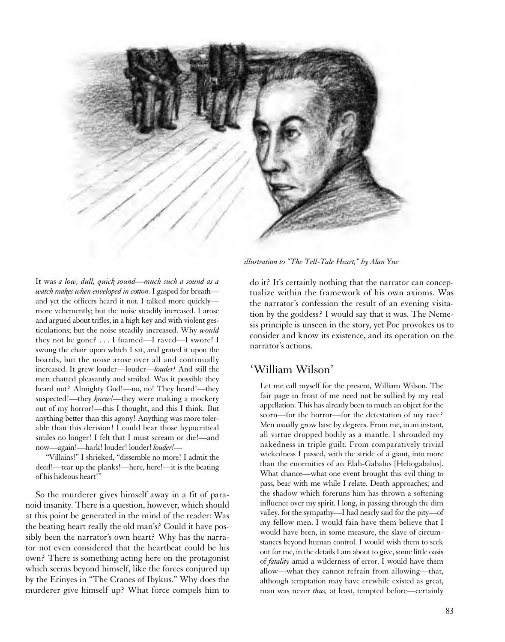

It was *a low, dull, quick sound—much such a sound as a watch makes when enveloped in cotton.* I gasped for breath and yet the officers heard it not. I talked more quickly more vehemently; but the noise steadily increased. I arose and argued about trifles, in a high key and with violent gesticulations; but the noise steadily increased. Why *would* they not be gone? . . . I foamed—I raved—I swore! I swung the chair upon which I sat, and grated it upon the boards, but the noise arose over all and continually increased. It grew louder—louder—*louder!* And still the men chatted pleasantly and smiled. Was it possible they heard not? Almighty God!—no, no! They heard!—they suspected!—they *knew!*—they were making a mockery out of my horror!—this I thought, and this I think. But anything better than this agony! Anything was more tolerable than this derision! I could bear those hypocritical smiles no longer! I felt that I must scream or die!—and now—again!—hark! louder! louder! *louder!*—

"Villains!" I shrieked, "dissemble no more! I admit the deed!—tear up the planks!—here, here!—it is the beating of his hideous heart!"

So the murderer gives himself away in a fit of paranoid insanity. There is a question, however, which should at this point be generated in the mind of the reader: Was the beating heart really the old man's? Could it have possibly been the narrator's own heart? Why has the narrator not even considered that the heartbeat could be his own? There is something acting here on the protagonist which seems beyond himself, like the forces conjured up by the Erinyes in "The Cranes of Ibykus." Why does the murderer give himself up? What force compels him to

*illustration to "The Tell-Tale Heart," by Alan Yue*

do it? It's certainly nothing that the narrator can conceptualize within the framework of his own axioms. Was the narrator's confession the result of an evening visitation by the goddess? I would say that it was. The Nemesis principle is unseen in the story, yet Poe provokes us to consider and know its existence, and its operation on the narrator's actions.

#### 'William Wilson'

Let me call myself for the present, William Wilson. The fair page in front of me need not be sullied by my real appellation. This has already been to much an object for the scorn—for the horror—for the detestation of my race? Men usually grow base by degrees. From me, in an instant, all virtue dropped bodily as a mantle. I shrouded my nakedness in triple guilt. From comparatively trivial wickedness I passed, with the stride of a giant, into more than the enormities of an Elah-Gabalus [Heliogabalus]. What chance—what one event brought this evil thing to pass, bear with me while I relate. Death approaches; and the shadow which foreruns him has thrown a softening influence over my spirit. I long, in passing through the dim valley, for the sympathy—I had nearly said for the pity—of my fellow men. I would fain have them believe that I would have been, in some measure, the slave of circumstances beyond human control. I would wish them to seek out for me, in the details I am about to give, some little oasis of *fatality* amid a wilderness of error. I would have them allow—what they cannot refrain from allowing—that, although temptation may have erewhile existed as great, man was never *thus,* at least, tempted before—certainly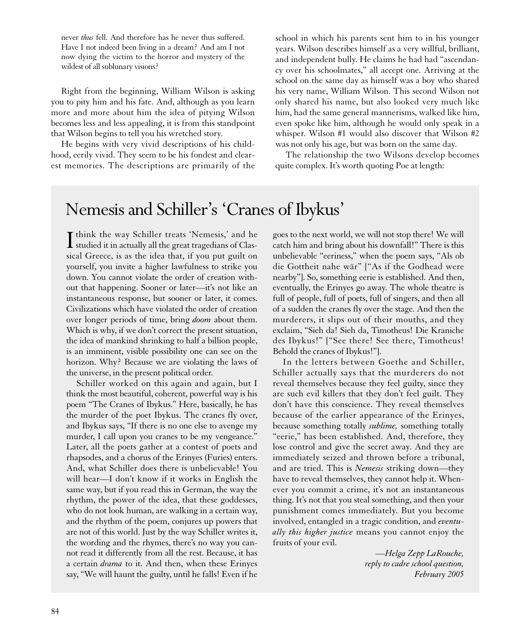never *thus* fell. And therefore has he never thus suffered. Have I not indeed been living in a dream? And am I not now dying the victim to the horror and mystery of the wildest of all sublunary visions?

Right from the beginning, William Wilson is asking you to pity him and his fate. And, although as you learn more and more about him the idea of pitying Wilson becomes less and less appealing, it is from this standpoint that Wilson begins to tell you his wretched story.

He begins with very vivid descriptions of his childhood, eerily vivid. They seem to be his fondest and clearest memories. The descriptions are primarily of the

school in which his parents sent him to in his younger years. Wilson describes himself as a very willful, brilliant, and independent bully. He claims he had had "ascendancy over his schoolmates," all accept one. Arriving at the school on the same day as himself was a boy who shared his very name, William Wilson. This second Wilson not only shared his name, but also looked very much like him, had the same general mannerisms, walked like him, even spoke like him, although he would only speak in a whisper. Wilson #1 would also discover that Wilson #2 was not only his age, but was born on the same day.

The relationship the two Wilsons develop becomes quite complex. It's worth quoting Poe at length:

## Nemesis and Schiller's 'Cranes of Ibykus'

I think the way Schiller treats 'Nemesis,' and he<br>studied it in actually all the great tragedians of Clas- $\blacktriangle$  studied it in actually all the great tragedians of Classical Greece, is as the idea that, if you put guilt on yourself, you invite a higher lawfulness to strike you down. You cannot violate the order of creation without that happening. Sooner or later—it's not like an instantaneous response, but sooner or later, it comes. Civilizations which have violated the order of creation over longer periods of time, bring *doom* about them. Which is why, if we don't correct the present situation, the idea of mankind shrinking to half a billion people, is an imminent, visible possibility one can see on the horizon. Why? Because we are violating the laws of the universe, in the present political order.

Schiller worked on this again and again, but I think the most beautiful, coherent, powerful way is his poem "The Cranes of Ibykus." Here, basically, he has the murder of the poet Ibykus. The cranes fly over, and Ibykus says, "If there is no one else to avenge my murder, I call upon you cranes to be my vengeance." Later, all the poets gather at a contest of poets and rhapsodes, and a chorus of the Erinyes (Furies) enters. And, what Schiller does there is unbelievable! You will hear—I don't know if it works in English the same way, but if you read this in German, the way the rhythm, the power of the idea, that these goddesses, who do not look human, are walking in a certain way, and the rhythm of the poem, conjures up powers that are not of this world. Just by the way Schiller writes it, the wording and the rhymes, there's no way you cannot read it differently from all the rest. Because, it has a certain *drama* to it. And then, when these Erinyes say, "We will haunt the guilty, until he falls! Even if he

goes to the next world, we will not stop there! We will catch him and bring about his downfall!" There is this unbelievable "eeriness," when the poem says, "Als ob die Gottheit nahe wär" ["As if the Godhead were nearby"]. So, something eerie is established. And then, eventually, the Erinyes go away. The whole theatre is full of people, full of poets, full of singers, and then all of a sudden the cranes fly over the stage. And then the murderers, it slips out of their mouths, and they exclaim, "Sieh da! Sieh da, Timotheus! Die Kraniche des Ibykus!" ["See there! See there, Timotheus! Behold the cranes of Ibykus!"].

In the letters between Goethe and Schiller, Schiller actually says that the murderers do not reveal themselves because they feel guilty, since they are such evil killers that they don't feel guilt. They don't have this conscience. They reveal themselves because of the earlier appearance of the Erinyes, because something totally *sublime,* something totally "eerie," has been established. And, therefore, they lose control and give the secret away. And they are immediately seized and thrown before a tribunal, and are tried. This is *Nemesis* striking down—they have to reveal themselves, they cannot help it. Whenever you commit a crime, it's not an instantaneous thing. It's not that you steal something, and then your punishment comes immediately. But you become involved, entangled in a tragic condition, and *eventually this higher justice* means you cannot enjoy the fruits of your evil.

> *—Helga Zepp LaRouche, reply to cadre school question, February 2005*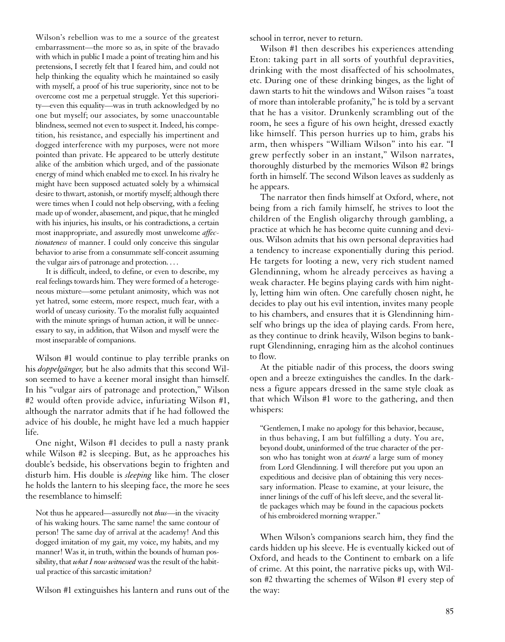Wilson's rebellion was to me a source of the greatest embarrassment—the more so as, in spite of the bravado with which in public I made a point of treating him and his pretensions, I secretly felt that I feared him, and could not help thinking the equality which he maintained so easily with myself, a proof of his true superiority, since not to be overcome cost me a perpetual struggle. Yet this superiority—even this equality—was in truth acknowledged by no one but myself; our associates, by some unaccountable blindness, seemed not even to suspect it. Indeed, his competition, his resistance, and especially his impertinent and dogged interference with my purposes, were not more pointed than private. He appeared to be utterly destitute alike of the ambition which urged, and of the passionate energy of mind which enabled me to excel. In his rivalry he might have been supposed actuated solely by a whimsical desire to thwart, astonish, or mortify myself; although there were times when I could not help observing, with a feeling made up of wonder, abasement, and pique, that he mingled with his injuries, his insults, or his contradictions, a certain most inappropriate, and assuredly most unwelcome *affectionateness* of manner. I could only conceive this singular behavior to arise from a consummate self-conceit assuming the vulgar airs of patronage and protection. . . .

It is difficult, indeed, to define, or even to describe, my real feelings towards him. They were formed of a heterogeneous mixture—some petulant animosity, which was not yet hatred, some esteem, more respect, much fear, with a world of uneasy curiosity. To the moralist fully acquainted with the minute springs of human action, it will be unnecessary to say, in addition, that Wilson and myself were the most inseparable of companions.

Wilson #1 would continue to play terrible pranks on his *doppelgänger,* but he also admits that this second Wilson seemed to have a keener moral insight than himself. In his "vulgar airs of patronage and protection," Wilson #2 would often provide advice, infuriating Wilson #1, although the narrator admits that if he had followed the advice of his double, he might have led a much happier life.

One night, Wilson #1 decides to pull a nasty prank while Wilson #2 is sleeping. But, as he approaches his double's bedside, his observations begin to frighten and disturb him. His double is *sleeping* like him. The closer he holds the lantern to his sleeping face, the more he sees the resemblance to himself:

Not thus he appeared—assuredly not *thus*—in the vivacity of his waking hours. The same name! the same contour of person! The same day of arrival at the academy! And this dogged imitation of my gait, my voice, my habits, and my manner! Was it, in truth, within the bounds of human possibility, that *what I now witnessed* was the result of the habitual practice of this sarcastic imitation?

Wilson #1 extinguishes his lantern and runs out of the

school in terror, never to return.

Wilson #1 then describes his experiences attending Eton: taking part in all sorts of youthful depravities, drinking with the most disaffected of his schoolmates, etc. During one of these drinking binges, as the light of dawn starts to hit the windows and Wilson raises "a toast of more than intolerable profanity," he is told by a servant that he has a visitor. Drunkenly scrambling out of the room, he sees a figure of his own height, dressed exactly like himself. This person hurries up to him, grabs his arm, then whispers "William Wilson" into his ear. "I grew perfectly sober in an instant," Wilson narrates, thoroughly disturbed by the memories Wilson #2 brings forth in himself. The second Wilson leaves as suddenly as he appears.

The narrator then finds himself at Oxford, where, not being from a rich family himself, he strives to loot the children of the English oligarchy through gambling, a practice at which he has become quite cunning and devious. Wilson admits that his own personal depravities had a tendency to increase exponentially during this period. He targets for looting a new, very rich student named Glendinning, whom he already perceives as having a weak character. He begins playing cards with him nightly, letting him win often. One carefully chosen night, he decides to play out his evil intention, invites many people to his chambers, and ensures that it is Glendinning himself who brings up the idea of playing cards. From here, as they continue to drink heavily, Wilson begins to bankrupt Glendinning, enraging him as the alcohol continues to flow.

At the pitiable nadir of this process, the doors swing open and a breeze extinguishes the candles. In the darkness a figure appears dressed in the same style cloak as that which Wilson #1 wore to the gathering, and then whispers:

"Gentlemen, I make no apology for this behavior, because, in thus behaving, I am but fulfilling a duty. You are, beyond doubt, uninformed of the true character of the person who has tonight won at *écarté* a large sum of money from Lord Glendinning. I will therefore put you upon an expeditious and decisive plan of obtaining this very necessary information. Please to examine, at your leisure, the inner linings of the cuff of his left sleeve, and the several little packages which may be found in the capacious pockets of his embroidered morning wrapper."

When Wilson's companions search him, they find the cards hidden up his sleeve. He is eventually kicked out of Oxford, and heads to the Continent to embark on a life of crime. At this point, the narrative picks up, with Wilson #2 thwarting the schemes of Wilson #1 every step of the way: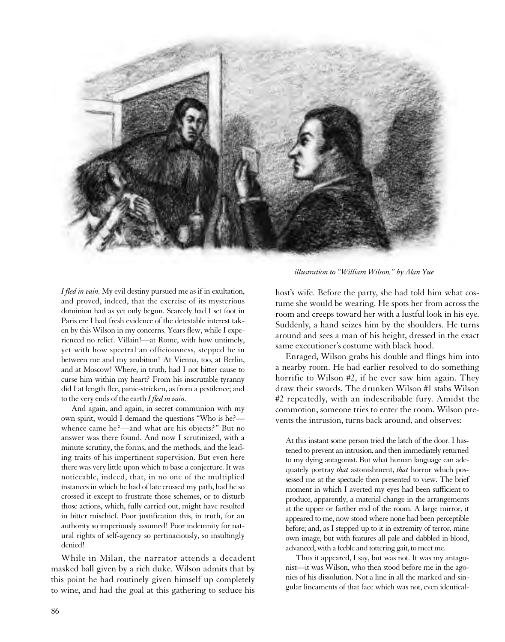

*illustration to "William Wilson," by Alan Yue*

*I fled in vain.* My evil destiny pursued me as if in exultation, and proved, indeed, that the exercise of its mysterious dominion had as yet only begun. Scarcely had I set foot in Paris ere I had fresh evidence of the detestable interest taken by this Wilson in my concerns. Years flew, while I experienced no relief. Villain!—at Rome, with how untimely, yet with how spectral an officiousness, stepped he in between me and my ambition! At Vienna, too, at Berlin, and at Moscow! Where, in truth, had I not bitter cause to curse him within my heart? From his inscrutable tyranny did I at length flee, panic-stricken, as from a pestilence; and to the very ends of the earth *I fled in vain.*

And again, and again, in secret communion with my own spirit, would I demand the questions "Who is he? whence came he?—and what are his objects?" But no answer was there found. And now I scrutinized, with a minute scrutiny, the forms, and the methods, and the leading traits of his impertinent supervision. But even here there was very little upon which to base a conjecture. It was noticeable, indeed, that, in no one of the multiplied instances in which he had of late crossed my path, had he so crossed it except to frustrate those schemes, or to disturb those actions, which, fully carried out, might have resulted in bitter mischief. Poor justification this, in truth, for an authority so imperiously assumed! Poor indemnity for natural rights of self-agency so pertinaciously, so insultingly denied!

While in Milan, the narrator attends a decadent masked ball given by a rich duke. Wilson admits that by this point he had routinely given himself up completely to wine, and had the goal at this gathering to seduce his

host's wife. Before the party, she had told him what costume she would be wearing. He spots her from across the room and creeps toward her with a lustful look in his eye. Suddenly, a hand seizes him by the shoulders. He turns around and sees a man of his height, dressed in the exact same executioner's costume with black hood.

Enraged, Wilson grabs his double and flings him into a nearby room. He had earlier resolved to do something horrific to Wilson #2, if he ever saw him again. They draw their swords. The drunken Wilson #1 stabs Wilson #2 repeatedly, with an indescribable fury. Amidst the commotion, someone tries to enter the room. Wilson prevents the intrusion, turns back around, and observes:

At this instant some person tried the latch of the door. I hastened to prevent an intrusion, and then immediately returned to my dying antagonist. But what human language can adequately portray *that* astonishment, *that* horror which possessed me at the spectacle then presented to view. The brief moment in which I averted my eyes had been sufficient to produce, apparently, a material change in the arrangements at the upper or farther end of the room. A large mirror, it appeared to me, now stood where none had been perceptible before; and, as I stepped up to it in extremity of terror, mine own image, but with features all pale and dabbled in blood, advanced, with a feeble and tottering gait, to meet me.

Thus it appeared, I say, but was not. It was my antagonist—it was Wilson, who then stood before me in the agonies of his dissolution. Not a line in all the marked and singular lineaments of that face which was not, even identical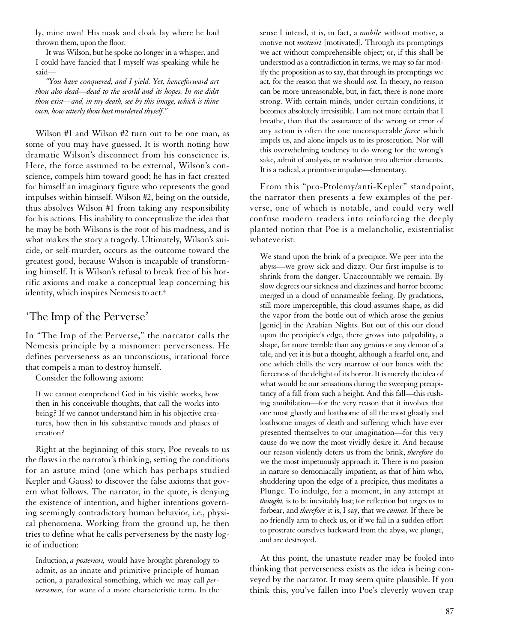ly, mine own! His mask and cloak lay where he had thrown them, upon the floor.

It was Wilson, but he spoke no longer in a whisper, and I could have fancied that I myself was speaking while he said—

*"You have conquered, and I yield. Yet, henceforward art thou also dead—dead to the world and its hopes. In me didst thou exist—and, in my death, see by this image, which is thine own, how utterly thou hast murdered thyself."*

Wilson #1 and Wilson #2 turn out to be one man, as some of you may have guessed. It is worth noting how dramatic Wilson's disconnect from his conscience is. Here, the force assumed to be external, Wilson's conscience, compels him toward good; he has in fact created for himself an imaginary figure who represents the good impulses within himself. Wilson #2, being on the outside, thus absolves Wilson #1 from taking any responsibility for his actions. His inability to conceptualize the idea that he may be both Wilsons is the root of his madness, and is what makes the story a tragedy. Ultimately, Wilson's suicide, or self-murder, occurs as the outcome toward the greatest good, because Wilson is incapable of transforming himself. It is Wilson's refusal to break free of his horrific axioms and make a conceptual leap concerning his identity, which inspires Nemesis to act.4

#### 'The Imp of the Perverse'

In "The Imp of the Perverse," the narrator calls the Nemesis principle by a misnomer: perverseness. He defines perverseness as an unconscious, irrational force that compels a man to destroy himself.

Consider the following axiom:

If we cannot comprehend God in his visible works, how then in his conceivable thoughts, that call the works into being? If we cannot understand him in his objective creatures, how then in his substantive moods and phases of creation?

Right at the beginning of this story, Poe reveals to us the flaws in the narrator's thinking, setting the conditions for an astute mind (one which has perhaps studied Kepler and Gauss) to discover the false axioms that govern what follows. The narrator, in the quote, is denying the existence of intention, and higher intentions governing seemingly contradictory human behavior, i.e., physical phenomena. Working from the ground up, he then tries to define what he calls perverseness by the nasty logic of induction:

Induction, *a posteriori,* would have brought phrenology to admit, as an innate and primitive principle of human action, a paradoxical something, which we may call *perverseness,* for want of a more characteristic term. In the

sense I intend, it is, in fact, a *mobile* without motive, a motive not *motivirt* [motivated]. Through its promptings we act without comprehensible object; or, if this shall be understood as a contradiction in terms, we may so far modify the proposition as to say, that through its promptings we act, for the reason that we should *not.* In theory, no reason can be more unreasonable, but, in fact, there is none more strong. With certain minds, under certain conditions, it becomes absolutely irresistible. I am not more certain that I breathe, than that the assurance of the wrong or error of any action is often the one unconquerable *force* which impels us, and alone impels us to its prosecution. Nor will this overwhelming tendency to do wrong for the wrong's sake, admit of analysis, or resolution into ulterior elements. It is a radical, a primitive impulse—elementary.

From this "pro-Ptolemy/anti-Kepler" standpoint, the narrator then presents a few examples of the perverse, one of which is notable, and could very well confuse modern readers into reinforcing the deeply planted notion that Poe is a melancholic, existentialist whateverist:

We stand upon the brink of a precipice. We peer into the abyss—we grow sick and dizzy. Our first impulse is to shrink from the danger. Unaccountably we remain. By slow degrees our sickness and dizziness and horror become merged in a cloud of unnameable feeling. By gradations, still more imperceptible, this cloud assumes shape, as did the vapor from the bottle out of which arose the genius [genie] in the Arabian Nights. But out of this our cloud upon the precipice's edge, there grows into palpability, a shape, far more terrible than any genius or any demon of a tale, and yet it is but a thought, although a fearful one, and one which chills the very marrow of our bones with the fierceness of the delight of its horror. It is merely the idea of what would be our sensations during the sweeping precipitancy of a fall from such a height. And this fall—this rushing annihilation—for the very reason that it involves that one most ghastly and loathsome of all the most ghastly and loathsome images of death and suffering which have ever presented themselves to our imagination—for this very cause do we now the most vividly desire it. And because our reason violently deters us from the brink, *therefore* do we the most impetuously approach it. There is no passion in nature so demoniacally impatient, as that of him who, shuddering upon the edge of a precipice, thus meditates a Plunge. To indulge, for a moment, in any attempt at *thought,* is to be inevitably lost; for reflection but urges us to forbear, and *therefore* it is, I say, that we *cannot.* If there be no friendly arm to check us, or if we fail in a sudden effort to prostrate ourselves backward from the abyss, we plunge, and are destroyed.

At this point, the unastute reader may be fooled into thinking that perverseness exists as the idea is being conveyed by the narrator. It may seem quite plausible. If you think this, you've fallen into Poe's cleverly woven trap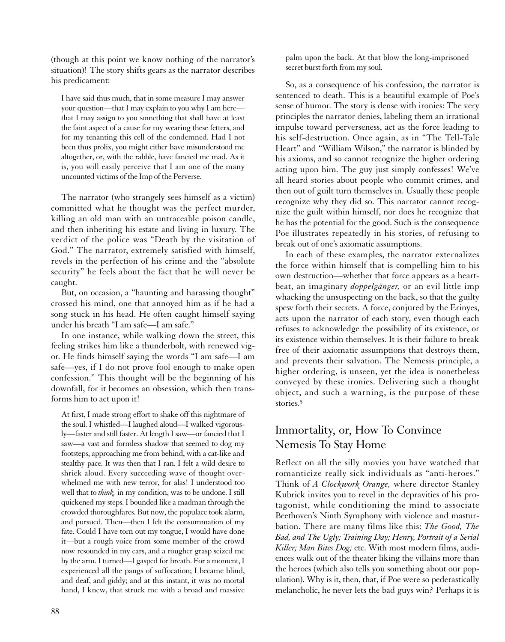(though at this point we know nothing of the narrator's situation)! The story shifts gears as the narrator describes his predicament:

I have said thus much, that in some measure I may answer your question—that I may explain to you why I am here that I may assign to you something that shall have at least the faint aspect of a cause for my wearing these fetters, and for my tenanting this cell of the condemned. Had I not been thus prolix, you might either have misunderstood me altogether, or, with the rabble, have fancied me mad. As it is, you will easily perceive that I am one of the many uncounted victims of the Imp of the Perverse.

The narrator (who strangely sees himself as a victim) committed what he thought was the perfect murder, killing an old man with an untraceable poison candle, and then inheriting his estate and living in luxury. The verdict of the police was "Death by the visitation of God." The narrator, extremely satisfied with himself, revels in the perfection of his crime and the "absolute security" he feels about the fact that he will never be caught.

But, on occasion, a "haunting and harassing thought" crossed his mind, one that annoyed him as if he had a song stuck in his head. He often caught himself saying under his breath "I am safe—I am safe."

In one instance, while walking down the street, this feeling strikes him like a thunderbolt, with renewed vigor. He finds himself saying the words "I am safe—I am safe—yes, if I do not prove fool enough to make open confession." This thought will be the beginning of his downfall, for it becomes an obsession, which then transforms him to act upon it!

At first, I made strong effort to shake off this nightmare of the soul. I whistled—I laughed aloud—I walked vigorously—faster and still faster. At length I saw—or fancied that I saw—a vast and formless shadow that seemed to dog my footsteps, approaching me from behind, with a cat-like and stealthy pace. It was then that I ran. I felt a wild desire to shriek aloud. Every succeeding wave of thought overwhelmed me with new terror, for alas! I understood too well that to *think,* in my condition, was to be undone. I still quickened my steps. I bounded like a madman through the crowded thoroughfares. But now, the populace took alarm, and pursued. Then—then I felt the consummation of my fate. Could I have torn out my tongue, I would have done it—but a rough voice from some member of the crowd now resounded in my ears, and a rougher grasp seized me by the arm. I turned—I gasped for breath. For a moment, I experienced all the pangs of suffocation; I became blind, and deaf, and giddy; and at this instant, it was no mortal hand, I knew, that struck me with a broad and massive

palm upon the back. At that blow the long-imprisoned secret burst forth from my soul.

So, as a consequence of his confession, the narrator is sentenced to death. This is a beautiful example of Poe's sense of humor. The story is dense with ironies: The very principles the narrator denies, labeling them an irrational impulse toward perverseness, act as the force leading to his self-destruction. Once again, as in "The Tell-Tale Heart" and "William Wilson," the narrator is blinded by his axioms, and so cannot recognize the higher ordering acting upon him. The guy just simply confesses! We've all heard stories about people who commit crimes, and then out of guilt turn themselves in. Usually these people recognize why they did so. This narrator cannot recognize the guilt within himself, nor does he recognize that he has the potential for the good. Such is the consequence Poe illustrates repeatedly in his stories, of refusing to break out of one's axiomatic assumptions.

In each of these examples, the narrator externalizes the force within himself that is compelling him to his own destruction—whether that force appears as a heartbeat, an imaginary *doppelgänger,* or an evil little imp whacking the unsuspecting on the back, so that the guilty spew forth their secrets. A force, conjured by the Erinyes, acts upon the narrator of each story, even though each refuses to acknowledge the possibility of its existence, or its existence within themselves. It is their failure to break free of their axiomatic assumptions that destroys them, and prevents their salvation. The Nemesis principle, a higher ordering, is unseen, yet the idea is nonetheless conveyed by these ironies. Delivering such a thought object, and such a warning, is the purpose of these stories<sup>5</sup>

#### Immortality, or, How To Convince Nemesis To Stay Home

Reflect on all the silly movies you have watched that romanticize really sick individuals as "anti-heroes." Think of *A Clockwork Orange,* where director Stanley Kubrick invites you to revel in the depravities of his protagonist, while conditioning the mind to associate Beethoven's Ninth Symphony with violence and masturbation. There are many films like this: *The Good, The Bad, and The Ugly; Training Day; Henry, Portrait of a Serial Killer; Man Bites Dog;* etc. With most modern films, audiences walk out of the theater liking the villains more than the heroes (which also tells you something about our population). Why is it, then, that, if Poe were so pederastically melancholic, he never lets the bad guys win? Perhaps it is